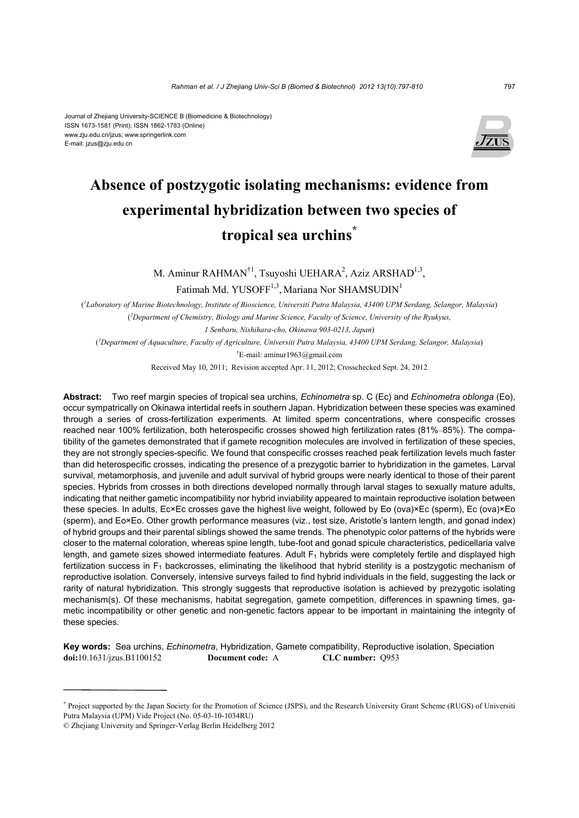#### Journal of Zhejiang University-SCIENCE B (Biomedicine & Biotechnology) ISSN 1673-1581 (Print); ISSN 1862-1783 (Online) www.zju.edu.cn/jzus; www.springerlink.com E-mail: jzus@zju.edu.cn



# **Absence of postzygotic isolating mechanisms: evidence from experimental hybridization between two species of tropical sea urchins\***

M. Aminur RAHMAN<sup>†1</sup>, Tsuyoshi UEHARA<sup>2</sup>, Aziz ARSHAD<sup>1,3</sup>,

Fatimah Md. YUSOFF<sup>1,3</sup>, Mariana Nor SHAMSUDIN<sup>1</sup>

( *1 Laboratory of Marine Biotechnology, Institute of Bioscience, Universiti Putra Malaysia, 43400 UPM Serdang, Selangor, Malaysia*) ( *2 Department of Chemistry, Biology and Marine Science, Faculty of Science, University of the Ryukyus, 1 Senbaru, Nishihara-cho, Okinawa 903-0213, Japan*)

( *3 Department of Aquaculture, Faculty of Agriculture, Universiti Putra Malaysia, 43400 UPM Serdang, Selangor, Malaysia*)

† E-mail: aminur1963@gmail.com

Received May 10, 2011; Revision accepted Apr. 11, 2012; Crosschecked Sept. 24, 2012

**Abstract:** Two reef margin species of tropical sea urchins, *Echinometra* sp. C (Ec) and *Echinometra oblonga* (Eo), occur sympatrically on Okinawa intertidal reefs in southern Japan. Hybridization between these species was examined through a series of cross-fertilization experiments. At limited sperm concentrations, where conspecific crosses reached near 100% fertilization, both heterospecific crosses showed high fertilization rates (81%–85%). The compatibility of the gametes demonstrated that if gamete recognition molecules are involved in fertilization of these species, they are not strongly species-specific. We found that conspecific crosses reached peak fertilization levels much faster than did heterospecific crosses, indicating the presence of a prezygotic barrier to hybridization in the gametes. Larval survival, metamorphosis, and juvenile and adult survival of hybrid groups were nearly identical to those of their parent species. Hybrids from crosses in both directions developed normally through larval stages to sexually mature adults, indicating that neither gametic incompatibility nor hybrid inviability appeared to maintain reproductive isolation between these species. In adults, Ec×Ec crosses gave the highest live weight, followed by Eo (ova)×Ec (sperm), Ec (ova)×Eo (sperm), and Eo×Eo. Other growth performance measures (viz., test size, Aristotle's lantern length, and gonad index) of hybrid groups and their parental siblings showed the same trends. The phenotypic color patterns of the hybrids were closer to the maternal coloration, whereas spine length, tube-foot and gonad spicule characteristics, pedicellaria valve length, and gamete sizes showed intermediate features. Adult  $F_1$  hybrids were completely fertile and displayed high fertilization success in  $F_1$  backcrosses, eliminating the likelihood that hybrid sterility is a postzygotic mechanism of reproductive isolation. Conversely, intensive surveys failed to find hybrid individuals in the field, suggesting the lack or rarity of natural hybridization. This strongly suggests that reproductive isolation is achieved by prezygotic isolating mechanism(s). Of these mechanisms, habitat segregation, gamete competition, differences in spawning times, gametic incompatibility or other genetic and non-genetic factors appear to be important in maintaining the integrity of these species.

**Key words:** Sea urchins, *Echinometra*, Hybridization, Gamete compatibility, Reproductive isolation, Speciation **doi:**10.1631/jzus.B1100152 **Document code:** A **CLC number:** Q953

© Zhejiang University and Springer-Verlag Berlin Heidelberg 2012

<sup>\*</sup> Project supported by the Japan Society for the Promotion of Science (JSPS), and the Research University Grant Scheme (RUGS) of Universiti Putra Malaysia (UPM) Vide Project (No. 05-03-10-1034RU)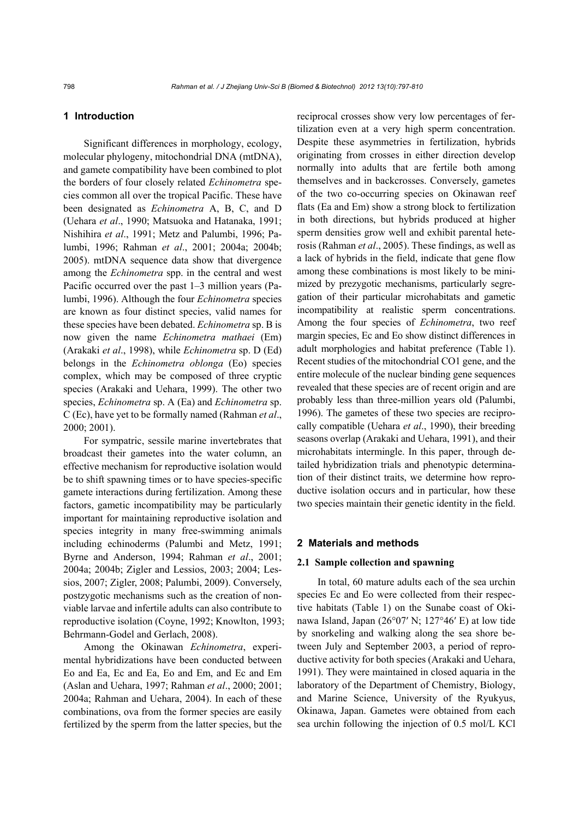## **1 Introduction**

Significant differences in morphology, ecology, molecular phylogeny, mitochondrial DNA (mtDNA), and gamete compatibility have been combined to plot the borders of four closely related *Echinometra* species common all over the tropical Pacific. These have been designated as *Echinometra* A, B, C, and D (Uehara *et al*., 1990; Matsuoka and Hatanaka, 1991; Nishihira *et al*., 1991; Metz and Palumbi, 1996; Palumbi, 1996; Rahman *et al*., 2001; 2004a; 2004b; 2005). mtDNA sequence data show that divergence among the *Echinometra* spp. in the central and west Pacific occurred over the past 1–3 million years (Palumbi, 1996). Although the four *Echinometra* species are known as four distinct species, valid names for these species have been debated. *Echinometra* sp. B is now given the name *Echinometra mathaei* (Em) (Arakaki *et al*., 1998), while *Echinometra* sp. D (Ed) belongs in the *Echinometra oblonga* (Eo) species complex, which may be composed of three cryptic species (Arakaki and Uehara, 1999). The other two species, *Echinometra* sp. A (Ea) and *Echinometra* sp. C (Ec), have yet to be formally named (Rahman *et al*., 2000; 2001).

For sympatric, sessile marine invertebrates that broadcast their gametes into the water column, an effective mechanism for reproductive isolation would be to shift spawning times or to have species-specific gamete interactions during fertilization. Among these factors, gametic incompatibility may be particularly important for maintaining reproductive isolation and species integrity in many free-swimming animals including echinoderms (Palumbi and Metz, 1991; Byrne and Anderson, 1994; Rahman *et al*., 2001; 2004a; 2004b; Zigler and Lessios, 2003; 2004; Lessios, 2007; Zigler, 2008; Palumbi, 2009). Conversely, postzygotic mechanisms such as the creation of nonviable larvae and infertile adults can also contribute to reproductive isolation (Coyne, 1992; Knowlton, 1993; Behrmann-Godel and Gerlach, 2008).

Among the Okinawan *Echinometra*, experimental hybridizations have been conducted between Eo and Ea, Ec and Ea, Eo and Em, and Ec and Em (Aslan and Uehara, 1997; Rahman *et al*., 2000; 2001; 2004a; Rahman and Uehara, 2004). In each of these combinations, ova from the former species are easily fertilized by the sperm from the latter species, but the reciprocal crosses show very low percentages of fertilization even at a very high sperm concentration. Despite these asymmetries in fertilization, hybrids originating from crosses in either direction develop normally into adults that are fertile both among themselves and in backcrosses. Conversely, gametes of the two co-occurring species on Okinawan reef flats (Ea and Em) show a strong block to fertilization in both directions, but hybrids produced at higher sperm densities grow well and exhibit parental heterosis (Rahman *et al*., 2005). These findings, as well as a lack of hybrids in the field, indicate that gene flow among these combinations is most likely to be minimized by prezygotic mechanisms, particularly segregation of their particular microhabitats and gametic incompatibility at realistic sperm concentrations. Among the four species of *Echinometra*, two reef margin species, Ec and Eo show distinct differences in adult morphologies and habitat preference (Table 1). Recent studies of the mitochondrial CO1 gene, and the entire molecule of the nuclear binding gene sequences revealed that these species are of recent origin and are probably less than three-million years old (Palumbi, 1996). The gametes of these two species are reciprocally compatible (Uehara *et al*., 1990), their breeding seasons overlap (Arakaki and Uehara, 1991), and their microhabitats intermingle. In this paper, through detailed hybridization trials and phenotypic determination of their distinct traits, we determine how reproductive isolation occurs and in particular, how these two species maintain their genetic identity in the field.

# **2 Materials and methods**

#### **2.1 Sample collection and spawning**

In total, 60 mature adults each of the sea urchin species Ec and Eo were collected from their respective habitats (Table 1) on the Sunabe coast of Okinawa Island, Japan (26°07′ N; 127°46′ E) at low tide by snorkeling and walking along the sea shore between July and September 2003, a period of reproductive activity for both species (Arakaki and Uehara, 1991). They were maintained in closed aquaria in the laboratory of the Department of Chemistry, Biology, and Marine Science, University of the Ryukyus, Okinawa, Japan. Gametes were obtained from each sea urchin following the injection of 0.5 mol/L KCl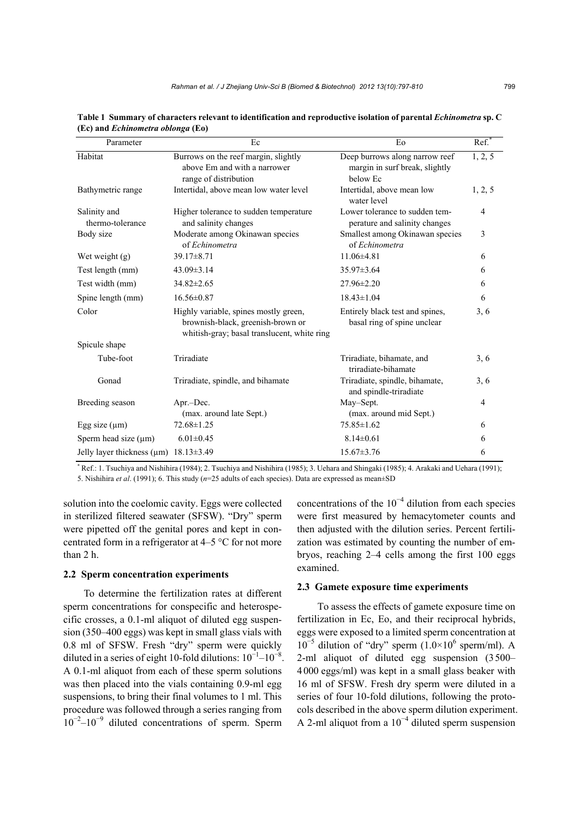| Parameter                                   | Ec                                                                                                                        | Eo                                                                           | Ref.           |
|---------------------------------------------|---------------------------------------------------------------------------------------------------------------------------|------------------------------------------------------------------------------|----------------|
| Habitat                                     | Burrows on the reef margin, slightly<br>above Em and with a narrower<br>range of distribution                             | Deep burrows along narrow reef<br>margin in surf break, slightly<br>below Ec | 1, 2, 5        |
| Bathymetric range                           | Intertidal, above mean low water level                                                                                    | Intertidal, above mean low<br>water level                                    | 1, 2, 5        |
| Salinity and<br>thermo-tolerance            | Higher tolerance to sudden temperature<br>and salinity changes                                                            | Lower tolerance to sudden tem-<br>perature and salinity changes              | 4              |
| Body size                                   | Moderate among Okinawan species<br>of Echinometra                                                                         | Smallest among Okinawan species<br>of Echinometra                            | 3              |
| Wet weight (g)                              | $39.17 \pm 8.71$                                                                                                          | $11.06\pm4.81$                                                               | 6              |
| Test length (mm)                            | $43.09 \pm 3.14$                                                                                                          | $35.97\pm3.64$                                                               | 6              |
| Test width (mm)                             | $34.82 \pm 2.65$                                                                                                          | $27.96 \pm 2.20$                                                             | 6              |
| Spine length (mm)                           | $16.56 \pm 0.87$                                                                                                          | $18.43 \pm 1.04$                                                             | 6              |
| Color                                       | Highly variable, spines mostly green,<br>brownish-black, greenish-brown or<br>whitish-gray; basal translucent, white ring | Entirely black test and spines,<br>basal ring of spine unclear               | 3, 6           |
| Spicule shape                               |                                                                                                                           |                                                                              |                |
| Tube-foot                                   | Triradiate                                                                                                                | Triradiate, bihamate, and<br>triradiate-bihamate                             | 3, 6           |
| Gonad                                       | Triradiate, spindle, and bihamate                                                                                         | Triradiate, spindle, bihamate,<br>and spindle-triradiate                     | 3, 6           |
| Breeding season                             | Apr.-Dec.<br>(max. around late Sept.)                                                                                     | May-Sept.<br>(max. around mid Sept.)                                         | $\overline{4}$ |
| Egg size $(\mu m)$                          | 72.68±1.25                                                                                                                | $75.85 \pm 1.62$                                                             | 6              |
| Sperm head size $(\mu m)$                   | $6.01 \pm 0.45$                                                                                                           | $8.14 \pm 0.61$                                                              | 6              |
| Jelly layer thickness ( $\mu$ m) 18.13±3.49 |                                                                                                                           | $15.67 \pm 3.76$                                                             | 6              |

**Table 1 Summary of characters relevant to identification and reproductive isolation of parental** *Echinometra* **sp. C (Ec) and** *Echinometra oblonga* **(Eo)**

\* Ref.: 1. Tsuchiya and Nishihira (1984); 2. Tsuchiya and Nishihira (1985); 3. Uehara and Shingaki (1985); 4. Arakaki and Uehara (1991); 5. Nishihira *et al*. (1991); 6. This study (*n*=25 adults of each species). Data are expressed as mean±SD

solution into the coelomic cavity. Eggs were collected in sterilized filtered seawater (SFSW). "Dry" sperm were pipetted off the genital pores and kept in concentrated form in a refrigerator at 4–5 °C for not more than 2 h.

## **2.2 Sperm concentration experiments**

To determine the fertilization rates at different sperm concentrations for conspecific and heterospecific crosses, a 0.1-ml aliquot of diluted egg suspension (350–400 eggs) was kept in small glass vials with 0.8 ml of SFSW. Fresh "dry" sperm were quickly diluted in a series of eight 10-fold dilutions:  $10^{-1}$  –  $10^{-8}$ . A 0.1-ml aliquot from each of these sperm solutions was then placed into the vials containing 0.9-ml egg suspensions, to bring their final volumes to 1 ml. This procedure was followed through a series ranging from  $10^{-2}$ - $10^{-9}$  diluted concentrations of sperm. Sperm

concentrations of the  $10^{-4}$  dilution from each species were first measured by hemacytometer counts and then adjusted with the dilution series. Percent fertilization was estimated by counting the number of embryos, reaching 2–4 cells among the first 100 eggs examined.

#### **2.3 Gamete exposure time experiments**

To assess the effects of gamete exposure time on fertilization in Ec, Eo, and their reciprocal hybrids, eggs were exposed to a limited sperm concentration at  $10^{-5}$  dilution of "dry" sperm  $(1.0 \times 10^{6} \text{ sperm/ml})$ . A 2-ml aliquot of diluted egg suspension (3500– 4000 eggs/ml) was kept in a small glass beaker with 16 ml of SFSW. Fresh dry sperm were diluted in a series of four 10-fold dilutions, following the protocols described in the above sperm dilution experiment. A 2-ml aliquot from a  $10^{-4}$  diluted sperm suspension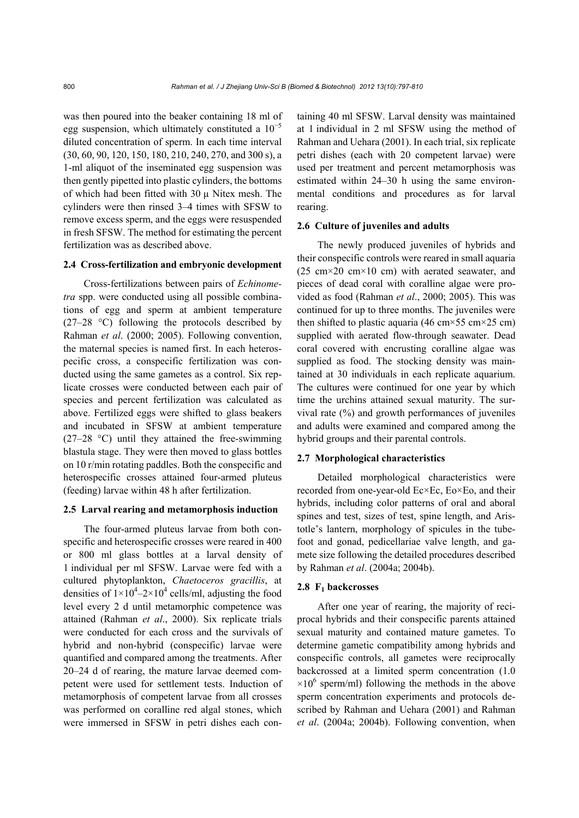was then poured into the beaker containing 18 ml of egg suspension, which ultimately constituted a  $10^{-5}$ diluted concentration of sperm. In each time interval (30, 60, 90, 120, 150, 180, 210, 240, 270, and 300 s), a 1-ml aliquot of the inseminated egg suspension was then gently pipetted into plastic cylinders, the bottoms of which had been fitted with  $30 \mu$  Nitex mesh. The cylinders were then rinsed 3–4 times with SFSW to remove excess sperm, and the eggs were resuspended in fresh SFSW. The method for estimating the percent fertilization was as described above.

## **2.4 Cross-fertilization and embryonic development**

Cross-fertilizations between pairs of *Echinometra* spp. were conducted using all possible combinations of egg and sperm at ambient temperature  $(27-28 \degree C)$  following the protocols described by Rahman *et al*. (2000; 2005). Following convention, the maternal species is named first. In each heterospecific cross, a conspecific fertilization was conducted using the same gametes as a control. Six replicate crosses were conducted between each pair of species and percent fertilization was calculated as above. Fertilized eggs were shifted to glass beakers and incubated in SFSW at ambient temperature  $(27–28 \degree C)$  until they attained the free-swimming blastula stage. They were then moved to glass bottles on 10 r/min rotating paddles. Both the conspecific and heterospecific crosses attained four-armed pluteus (feeding) larvae within 48 h after fertilization.

#### **2.5 Larval rearing and metamorphosis induction**

The four-armed pluteus larvae from both conspecific and heterospecific crosses were reared in 400 or 800 ml glass bottles at a larval density of 1 individual per ml SFSW. Larvae were fed with a cultured phytoplankton, *Chaetoceros gracillis*, at densities of  $1 \times 10^4 - 2 \times 10^4$  cells/ml, adjusting the food level every 2 d until metamorphic competence was attained (Rahman *et al*., 2000). Six replicate trials were conducted for each cross and the survivals of hybrid and non-hybrid (conspecific) larvae were quantified and compared among the treatments. After 20–24 d of rearing, the mature larvae deemed competent were used for settlement tests. Induction of metamorphosis of competent larvae from all crosses was performed on coralline red algal stones, which were immersed in SFSW in petri dishes each containing 40 ml SFSW. Larval density was maintained at 1 individual in 2 ml SFSW using the method of Rahman and Uehara (2001). In each trial, six replicate petri dishes (each with 20 competent larvae) were used per treatment and percent metamorphosis was estimated within 24–30 h using the same environmental conditions and procedures as for larval rearing.

#### **2.6 Culture of juveniles and adults**

The newly produced juveniles of hybrids and their conspecific controls were reared in small aquaria (25 cm×20 cm×10 cm) with aerated seawater, and pieces of dead coral with coralline algae were provided as food (Rahman *et al*., 2000; 2005). This was continued for up to three months. The juveniles were then shifted to plastic aquaria (46 cm $\times$ 55 cm $\times$ 25 cm) supplied with aerated flow-through seawater. Dead coral covered with encrusting coralline algae was supplied as food. The stocking density was maintained at 30 individuals in each replicate aquarium. The cultures were continued for one year by which time the urchins attained sexual maturity. The survival rate (%) and growth performances of juveniles and adults were examined and compared among the hybrid groups and their parental controls.

## **2.7 Morphological characteristics**

Detailed morphological characteristics were recorded from one-year-old Ec×Ec, Eo×Eo, and their hybrids, including color patterns of oral and aboral spines and test, sizes of test, spine length, and Aristotle's lantern, morphology of spicules in the tubefoot and gonad, pedicellariae valve length, and gamete size following the detailed procedures described by Rahman *et al*. (2004a; 2004b).

#### **2.8 F1 backcrosses**

After one year of rearing, the majority of reciprocal hybrids and their conspecific parents attained sexual maturity and contained mature gametes. To determine gametic compatibility among hybrids and conspecific controls, all gametes were reciprocally backcrossed at a limited sperm concentration (1.0  $\times 10^6$  sperm/ml) following the methods in the above sperm concentration experiments and protocols described by Rahman and Uehara (2001) and Rahman *et al*. (2004a; 2004b). Following convention, when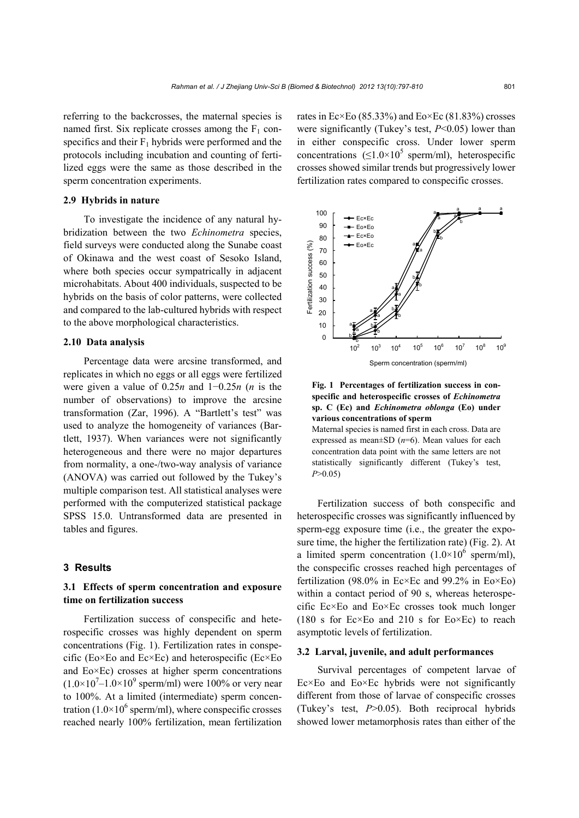referring to the backcrosses, the maternal species is named first. Six replicate crosses among the  $F_1$  conspecifics and their  $F_1$  hybrids were performed and the protocols including incubation and counting of fertilized eggs were the same as those described in the sperm concentration experiments.

#### **2.9 Hybrids in nature**

To investigate the incidence of any natural hybridization between the two *Echinometra* species, field surveys were conducted along the Sunabe coast of Okinawa and the west coast of Sesoko Island, where both species occur sympatrically in adjacent microhabitats. About 400 individuals, suspected to be hybrids on the basis of color patterns, were collected and compared to the lab-cultured hybrids with respect to the above morphological characteristics.

## **2.10 Data analysis**

Percentage data were arcsine transformed, and replicates in which no eggs or all eggs were fertilized were given a value of 0.25*n* and 1−0.25*n* (*n* is the number of observations) to improve the arcsine transformation (Zar, 1996). A "Bartlett's test" was used to analyze the homogeneity of variances (Bartlett, 1937). When variances were not significantly heterogeneous and there were no major departures from normality, a one-/two-way analysis of variance (ANOVA) was carried out followed by the Tukey's multiple comparison test. All statistical analyses were performed with the computerized statistical package SPSS 15.0. Untransformed data are presented in tables and figures.

#### **3 Results**

# **3.1 Effects of sperm concentration and exposure time on fertilization success**

Fertilization success of conspecific and heterospecific crosses was highly dependent on sperm concentrations (Fig. 1). Fertilization rates in conspecific (Eo×Eo and Ec×Ec) and heterospecific (Ec×Eo and Eo×Ec) crosses at higher sperm concentrations  $(1.0 \times 10^{7} - 1.0 \times 10^{9} \text{ sperm/ml})$  were 100% or very near to 100%. At a limited (intermediate) sperm concentration  $(1.0 \times 10^6 \text{ sperm/ml})$ , where conspecific crosses reached nearly 100% fertilization, mean fertilization

rates in Ec×Eo (85.33%) and Eo×Ec (81.83%) crosses were significantly (Tukey's test, *P*<0.05) lower than in either conspecific cross. Under lower sperm concentrations  $(\leq 1.0 \times 10^5$  sperm/ml), heterospecific crosses showed similar trends but progressively lower fertilization rates compared to conspecific crosses.



**Fig. 1 Percentages of fertilization success in conspecific and heterospecific crosses of** *Echinometra*  **sp. C (Ec) and** *Echinometra oblonga* **(Eo) under various concentrations of sperm** 

Maternal species is named first in each cross. Data are expressed as mean±SD (*n*=6). Mean values for each concentration data point with the same letters are not statistically significantly different (Tukey's test, *P*>0.05)

Fertilization success of both conspecific and heterospecific crosses was significantly influenced by sperm-egg exposure time (i.e., the greater the exposure time, the higher the fertilization rate) (Fig. 2). At a limited sperm concentration  $(1.0 \times 10^6 \text{ sperm/ml})$ , the conspecific crosses reached high percentages of fertilization (98.0% in Ec×Ec and 99.2% in Eo×Eo) within a contact period of 90 s, whereas heterospecific Ec×Eo and Eo×Ec crosses took much longer (180 s for Ec $\times$ Eo and 210 s for Eo $\times$ Ec) to reach asymptotic levels of fertilization.

#### **3.2 Larval, juvenile, and adult performances**

Survival percentages of competent larvae of Ec×Eo and Eo×Ec hybrids were not significantly different from those of larvae of conspecific crosses (Tukey's test, *P*>0.05). Both reciprocal hybrids showed lower metamorphosis rates than either of the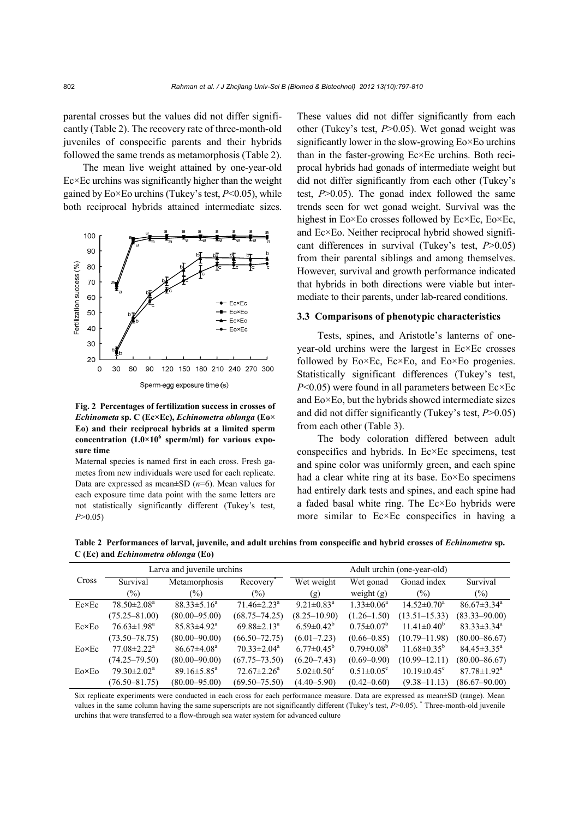parental crosses but the values did not differ significantly (Table 2). The recovery rate of three-month-old juveniles of conspecific parents and their hybrids followed the same trends as metamorphosis (Table 2).

The mean live weight attained by one-year-old Ec×Ec urchins was significantly higher than the weight gained by Eo×Eo urchins (Tukey's test, *P*<0.05), while both reciprocal hybrids attained intermediate sizes.



**Fig. 2 Percentages of fertilization success in crosses of**  *Echinometa* **sp. C (Ec×Ec),** *Echinometra oblonga* **(Eo× Eo) and their reciprocal hybrids at a limited sperm**  concentration (1.0×10<sup>6</sup> sperm/ml) for various expo**sure time** 

Maternal species is named first in each cross. Fresh gametes from new individuals were used for each replicate. Data are expressed as mean±SD (*n*=6). Mean values for each exposure time data point with the same letters are not statistically significantly different (Tukey's test,  $P > 0.05$ 

These values did not differ significantly from each other (Tukey's test, *P*>0.05). Wet gonad weight was significantly lower in the slow-growing Eo×Eo urchins than in the faster-growing Ec×Ec urchins. Both reciprocal hybrids had gonads of intermediate weight but did not differ significantly from each other (Tukey's test, *P*>0.05). The gonad index followed the same trends seen for wet gonad weight. Survival was the highest in Eo×Eo crosses followed by Ec×Ec, Eo×Ec, and Ec×Eo. Neither reciprocal hybrid showed significant differences in survival (Tukey's test, *P*>0.05) from their parental siblings and among themselves. However, survival and growth performance indicated that hybrids in both directions were viable but intermediate to their parents, under lab-reared conditions.

#### **3.3 Comparisons of phenotypic characteristics**

Tests, spines, and Aristotle's lanterns of oneyear-old urchins were the largest in Ec×Ec crosses followed by Eo×Ec, Ec×Eo, and Eo×Eo progenies. Statistically significant differences (Tukey's test, *P*<0.05) were found in all parameters between Ec×Ec and Eo×Eo, but the hybrids showed intermediate sizes and did not differ significantly (Tukey's test, *P*>0.05) from each other (Table 3).

The body coloration differed between adult conspecifics and hybrids. In Ec×Ec specimens, test and spine color was uniformly green, and each spine had a clear white ring at its base. Eo×Eo specimens had entirely dark tests and spines, and each spine had a faded basal white ring. The Ec×Eo hybrids were more similar to Ec×Ec conspecifics in having a

Cross Larva and juvenile urchins Adult urchin (one-year-old) Survival  $(% )$ Metamorphosis  $(%)$ Recovery  $(%)$ Wet weight (g) Wet gonad weight (g) Gonad index  $(%)$ **Survival**  $(%)$ Ec**×**Ec 78.50±2.08a (75.25–81.00)  $88.33 \pm 5.16^a$ (80.00–95.00)  $71.46 \pm 2.23$ <sup>a</sup> (68.75–74.25)  $9.21 \pm 0.83$ <sup>a</sup>  $(8.25 - 10.90)$  $1.33 \pm 0.06$ <sup>a</sup>  $(1.26 - 1.50)$  $14.52 \pm 0.70$ <sup>a</sup> (13.51–15.33)  $86.67 \pm 3.34$ <sup>a</sup> (83.33–90.00) Ec**×**Eo 76.63±1.98a (73.50–78.75) 85.83±4.92<sup>a</sup> (80.00–90.00) 69.88 $\pm$ 2.13<sup>a</sup> (66.50–72.75)  $6.59 \pm 0.42^b$  $(6.01 - 7.23)$  $0.75 \pm 0.07^{\text{b}}$  $(0.66 - 0.85)$  $11.41\pm0.40^b$ (10.79–11.98) 83.33±3.34<sup>a</sup> (80.00–86.67) Eo**×**Ec 77.08±2.22a (74.25–79.50)  $86.67{\pm}4.08^a$ (80.00–90.00)  $70.33 \pm 2.04$ <sup>a</sup> (67.75–73.50)  $6.77 \pm 0.45^b$  $(6.20 - 7.43)$  $0.79 \pm 0.08^b$  $(0.69 - 0.90)$  $11.68\pm0.35^{b}$ (10.99–12.11)  $84.45 \pm 3.35$ <sup>a</sup> (80.00–86.67) Eo**×**Eo 79.30±2.02<sup>a</sup> (76.50–81.75) 89.16 $\pm$ 5.85 $^{a}$ (80.00–95.00)  $72.67 \pm 2.26$ <sup>a</sup> (69.50–75.50)  $5.02 \pm 0.50$ <sup>c</sup> (4.40–5.90)  $0.51 \pm 0.05$ <sup>c</sup>  $(0.42 - 0.60)$  $10.19\pm0.45^{\circ}$  (9.38–11.13) 87.78±1.92<sup>a</sup> (86.67–90.00)

Table 2 Performances of larval, juvenile, and adult urchins from conspecific and hybrid crosses of *Echinometra* sp. **C (Ec) and** *Echinometra oblonga* **(Eo)** 

Six replicate experiments were conducted in each cross for each performance measure. Data are expressed as mean±SD (range). Mean values in the same column having the same superscripts are not significantly different (Tukey's test, *P*>0.05). \* Three-month-old juvenile urchins that were transferred to a flow-through sea water system for advanced culture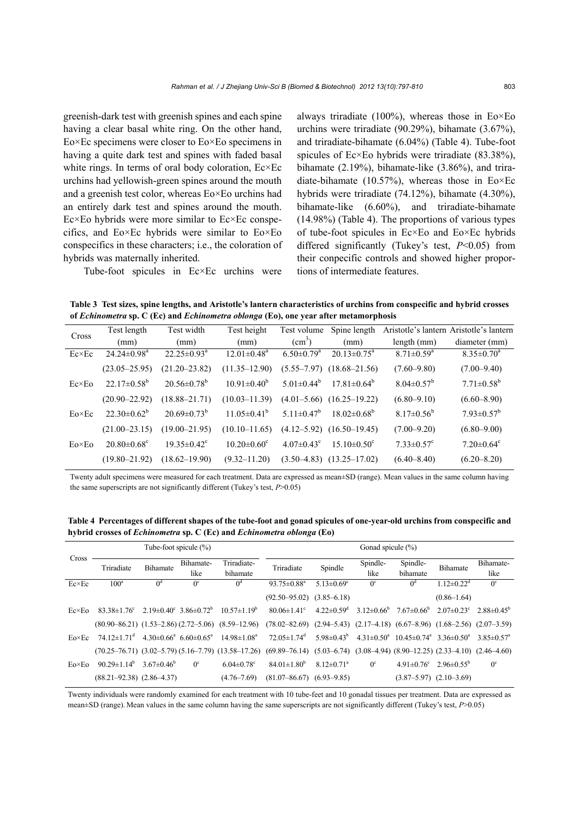greenish-dark test with greenish spines and each spine having a clear basal white ring. On the other hand, Eo×Ec specimens were closer to Eo×Eo specimens in having a quite dark test and spines with faded basal white rings. In terms of oral body coloration, Ec×Ec urchins had yellowish-green spines around the mouth and a greenish test color, whereas Eo×Eo urchins had an entirely dark test and spines around the mouth. Ec×Eo hybrids were more similar to Ec×Ec conspecifics, and Eo×Ec hybrids were similar to Eo×Eo conspecifics in these characters; i.e., the coloration of hybrids was maternally inherited.

Tube-foot spicules in Ec×Ec urchins were

always triradiate (100%), whereas those in  $Eo \times Eo$ urchins were triradiate (90.29%), bihamate (3.67%), and triradiate-bihamate (6.04%) (Table 4). Tube-foot spicules of Ec×Eo hybrids were triradiate (83.38%), bihamate (2.19%), bihamate-like (3.86%), and triradiate-bihamate (10.57%), whereas those in Eo×Ec hybrids were triradiate (74.12%), bihamate (4.30%), bihamate-like (6.60%), and triradiate-bihamate (14.98%) (Table 4). The proportions of various types of tube-foot spicules in Ec×Eo and Eo×Ec hybrids differed significantly (Tukey's test, *P*<0.05) from their conpecific controls and showed higher proportions of intermediate features.

**Table 3 Test sizes, spine lengths, and Aristotle's lantern characteristics of urchins from conspecific and hybrid crosses of** *Echinometra* **sp. C (Ec) and** *Echinometra oblonga* **(Eo), one year after metamorphosis** 

| Cross            | Test length                   | Test width                    | Test height                   | Test volume                  | Spine length                      |                              | Aristotle's lantern Aristotle's lantern |
|------------------|-------------------------------|-------------------------------|-------------------------------|------------------------------|-----------------------------------|------------------------------|-----------------------------------------|
|                  | (mm)                          | (mm)                          | (mm)                          | (cm <sup>3</sup> )           | (mm)                              | length (mm)                  | diameter (mm)                           |
| $Ec \times Ec$   | $24.24 \pm 0.98$ <sup>a</sup> | $22.25 \pm 0.93^a$            | $12.01 \pm 0.48$ <sup>a</sup> | $6.50 \pm 0.79$ <sup>a</sup> | $20.13 \pm 0.75$ <sup>a</sup>     | $8.71 \pm 0.59$ <sup>a</sup> | $8.35 \pm 0.70$ <sup>a</sup>            |
|                  | $(23.05 - 25.95)$             | $(21.20 - 23.82)$             | $(11.35 - 12.90)$             | $(5.55 - 7.97)$              | $(18.68 - 21.56)$                 | $(7.60 - 9.80)$              | $(7.00 - 9.40)$                         |
| $Ex\times E_0$   | $22.17\pm0.58^{\rm b}$        | $20.56 \pm 0.78$ <sup>b</sup> | $10.91 \pm 0.40^b$            | $5.01\pm0.44^b$              | $17.81 \pm 0.64^b$                | $8.04 \pm 0.57^b$            | $7.71 \pm 0.58^b$                       |
|                  | $(20.90 - 22.92)$             | $(18.88 - 21.71)$             | $(10.03 - 11.39)$             |                              | $(4.01-5.66)$ $(16.25-19.22)$     | $(6.80 - 9.10)$              | $(6.60 - 8.90)$                         |
| $E_0 \times E_0$ | $22.30\pm0.62^b$              | $20.69 \pm 0.73^b$            | $11.05 \pm 0.41^b$            | $5.11 \pm 0.47$ <sup>b</sup> | $18.02\pm0.68^{\rm b}$            | $8.17\pm0.56^b$              | $7.93 \pm 0.57^b$                       |
|                  | $(21.00 - 23.15)$             | $(19.00 - 21.95)$             | $(10.10 - 11.65)$             |                              | $(4.12 - 5.92)$ $(16.50 - 19.45)$ | $(7.00 - 9.20)$              | $(6.80 - 9.00)$                         |
| $E_0 \times E_0$ | $20.80 \pm 0.68$ <sup>c</sup> | $19.35 \pm 0.42$ <sup>c</sup> | $10.20 \pm 0.60^{\circ}$      | $4.07 \pm 0.43$ <sup>c</sup> | $15.10\pm0.50^{\circ}$            | $7.33 \pm 0.57$ <sup>c</sup> | $7.20 \pm 0.64$ <sup>c</sup>            |
|                  | $(19.80 - 21.92)$             | $(18.62 - 19.90)$             | $(9.32 - 11.20)$              |                              | $(3.50-4.83)$ $(13.25-17.02)$     | $(6.40 - 8.40)$              | $(6.20 - 8.20)$                         |

Twenty adult specimens were measured for each treatment. Data are expressed as mean±SD (range). Mean values in the same column having the same superscripts are not significantly different (Tukey's test, *P*>0.05)

**Table 4 Percentages of different shapes of the tube-foot and gonad spicules of one-year-old urchins from conspecific and hybrid crosses of** *Echinometra* **sp. C (Ec) and** *Echinometra oblonga* **(Eo)**

|                  |                                                            |                 | Tube-foot spicule $(\%)$                           |                              |                                                                                                                                                    |                              | Gonad spicule $(\% )$ |                               |                                             |                              |
|------------------|------------------------------------------------------------|-----------------|----------------------------------------------------|------------------------------|----------------------------------------------------------------------------------------------------------------------------------------------------|------------------------------|-----------------------|-------------------------------|---------------------------------------------|------------------------------|
| Cross            | Triradiate                                                 | <b>Bihamate</b> | Bihamate-<br>like                                  | Triradiate-<br>hihamate      | Triradiate                                                                                                                                         | Spindle                      | Spindle-<br>like      | Spindle-<br>bihamate          | <b>Bihamate</b>                             | Bihamate-<br>like            |
| $Ec\times Ec$    | $100^{\rm a}$                                              | 0 <sup>d</sup>  | $0^{\circ}$                                        | 0 <sup>d</sup>               | $93.75 \pm 0.88$ <sup>a</sup>                                                                                                                      | $5.13 \pm 0.69$ <sup>c</sup> | $0^{\circ}$           | 0 <sup>d</sup>                | $1.12 \pm 0.22$ <sup>d</sup>                | $0^{\circ}$                  |
|                  |                                                            |                 |                                                    |                              | $(92.50 - 95.02)$                                                                                                                                  | $(3.85 - 6.18)$              |                       |                               | $(0.86 - 1.64)$                             |                              |
| $Ex\times E_0$   | $83.38 \pm 1.76^{\circ}$                                   |                 | $2.19\pm0.40^{\circ}$ 3.86 $\pm$ 0.72 <sup>b</sup> | $10.57 \pm 1.19^b$           | $80.06 \pm 1.41$ <sup>c</sup>                                                                                                                      | $4.22 \pm 0.59$ <sup>d</sup> | $3.12\pm0.66^{\circ}$ | $7.67 \pm 0.66^b$             | $2.07\pm0.23^{\circ}$ $2.88\pm0.45^{\circ}$ |                              |
|                  | $(80.90-86.21)$ $(1.53-2.86)$ $(2.72-5.06)$ $(8.59-12.96)$ |                 |                                                    |                              | $(78.02 - 82.69)$ $(2.94 - 5.43)$ $(2.17 - 4.18)$ $(6.67 - 8.96)$ $(1.68 - 2.56)$ $(2.07 - 3.59)$                                                  |                              |                       |                               |                                             |                              |
| $E_0 \times E_C$ | $74.12 \pm 1.71$ <sup>d</sup>                              |                 | $4.30\pm0.66^{\text{a}}$ 6.60 $\pm0.65^{\text{a}}$ | $14.98 \pm 1.08^a$           | $72.05 \pm 1.74$ <sup>d</sup>                                                                                                                      | 5.98 $\pm$ 0.43 <sup>b</sup> | $4.31 \pm 0.50^a$     | $10.45 \pm 0.74$ <sup>a</sup> | $3.36 \pm 0.50^{\circ}$                     | $3.85 \pm 0.57$ <sup>a</sup> |
|                  |                                                            |                 |                                                    |                              | $(70.25-76.71)$ $(3.02-5.79)$ $(5.16-7.79)$ $(13.58-17.26)$ $(69.89-76.14)$ $(5.03-6.74)$ $(3.08-4.94)$ $(8.90-12.25)$ $(2.33-4.10)$ $(2.46-4.60)$ |                              |                       |                               |                                             |                              |
| $E_0 \times E_0$ | 90.29 $\pm$ 1.14 <sup>b</sup> 3.67 $\pm$ 0.46 <sup>b</sup> |                 | $0^{\circ}$                                        | $6.04 \pm 0.78$ <sup>c</sup> | $84.01 \pm 1.80^b$                                                                                                                                 | $8.12 \pm 0.71$ <sup>a</sup> | $0^{\circ}$           | $4.91 \pm 0.76$ °             | $2.96 \pm 0.55^{\circ}$                     | $0^{\circ}$                  |
|                  | $(88.21 - 92.38)$ $(2.86 - 4.37)$                          |                 |                                                    | $(4.76 - 7.69)$              | $(81.07 - 86.67)$ $(6.93 - 9.85)$                                                                                                                  |                              |                       | $(3.87-5.97)$ $(2.10-3.69)$   |                                             |                              |

Twenty individuals were randomly examined for each treatment with 10 tube-feet and 10 gonadal tissues per treatment. Data are expressed as mean±SD (range). Mean values in the same column having the same superscripts are not significantly different (Tukey's test, *P*>0.05)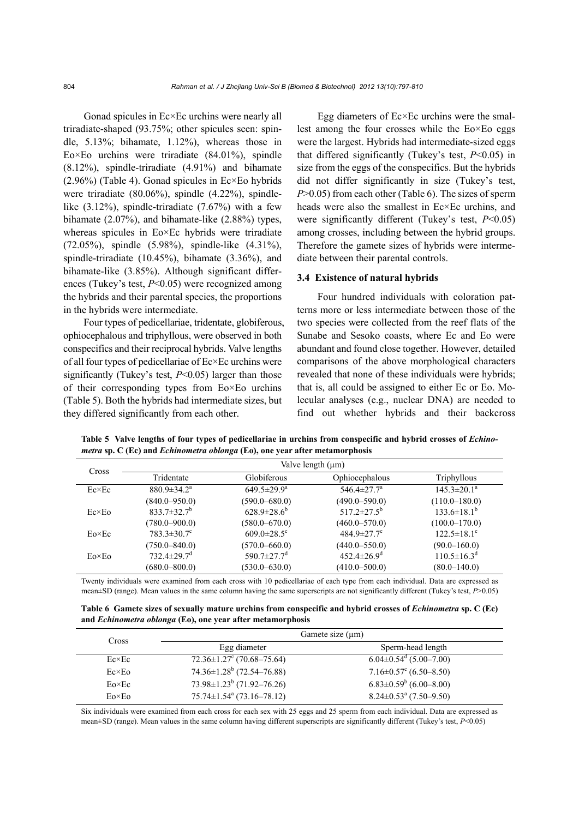Gonad spicules in Ec×Ec urchins were nearly all triradiate-shaped (93.75%; other spicules seen: spindle, 5.13%; bihamate, 1.12%), whereas those in Eo×Eo urchins were triradiate (84.01%), spindle (8.12%), spindle-triradiate (4.91%) and bihamate (2.96%) (Table 4). Gonad spicules in Ec×Eo hybrids were triradiate (80.06%), spindle (4.22%), spindlelike (3.12%), spindle-triradiate (7.67%) with a few bihamate (2.07%), and bihamate-like (2.88%) types, whereas spicules in Eo×Ec hybrids were triradiate (72.05%), spindle (5.98%), spindle-like (4.31%), spindle-triradiate (10.45%), bihamate (3.36%), and bihamate-like (3.85%). Although significant differences (Tukey's test, *P*<0.05) were recognized among the hybrids and their parental species, the proportions in the hybrids were intermediate.

Four types of pedicellariae, tridentate, globiferous, ophiocephalous and triphyllous, were observed in both conspecifics and their reciprocal hybrids. Valve lengths of all four types of pedicellariae of Ec×Ec urchins were significantly (Tukey's test, *P*<0.05) larger than those of their corresponding types from Eo×Eo urchins (Table 5). Both the hybrids had intermediate sizes, but they differed significantly from each other.

Egg diameters of Ec×Ec urchins were the smallest among the four crosses while the Eo×Eo eggs were the largest. Hybrids had intermediate-sized eggs that differed significantly (Tukey's test, *P*<0.05) in size from the eggs of the conspecifics. But the hybrids did not differ significantly in size (Tukey's test, *P*>0.05) from each other (Table 6). The sizes of sperm heads were also the smallest in Ec×Ec urchins, and were significantly different (Tukey's test, *P*<0.05) among crosses, including between the hybrid groups. Therefore the gamete sizes of hybrids were intermediate between their parental controls.

#### **3.4 Existence of natural hybrids**

Four hundred individuals with coloration patterns more or less intermediate between those of the two species were collected from the reef flats of the Sunabe and Sesoko coasts, where Ec and Eo were abundant and found close together. However, detailed comparisons of the above morphological characters revealed that none of these individuals were hybrids; that is, all could be assigned to either Ec or Eo. Molecular analyses (e.g., nuclear DNA) are needed to find out whether hybrids and their backcross

Table 5 Valve lengths of four types of pedicellariae in urchins from conspecific and hybrid crosses of *Echinometra* **sp. C (Ec) and** *Echinometra oblonga* **(Eo), one year after metamorphosis**

| Cross          | Valve length $(\mu m)$        |                               |                               |                               |  |  |
|----------------|-------------------------------|-------------------------------|-------------------------------|-------------------------------|--|--|
|                | Tridentate                    | Globiferous                   | Ophiocephalous                | Triphyllous                   |  |  |
| $Ec \times Ec$ | $880.9 \pm 34.2^{\text{a}}$   | $649.5 \pm 29.9^{\mathrm{a}}$ | $546.4 \pm 27.7^{\mathrm{a}}$ | $145.3 \pm 20.1^a$            |  |  |
|                | $(840.0 - 950.0)$             | $(590.0 - 680.0)$             | $(490.0 - 590.0)$             | $(110.0 - 180.0)$             |  |  |
| $Ec \times Eo$ | $833.7 \pm 32.7^b$            | $628.9 \pm 28.6^b$            | $517.2 \pm 27.5^b$            | $133.6 \pm 18.1^b$            |  |  |
|                | $(780.0 - 900.0)$             | $(580.0 - 670.0)$             | $(460.0 - 570.0)$             | $(100.0 - 170.0)$             |  |  |
| $Eo \times Ec$ | $783.3 \pm 30.7$ °            | $609.0 \pm 28.5$ <sup>c</sup> | $484.9 \pm 27.7$ °            | $122.5 \pm 18.1$ <sup>c</sup> |  |  |
|                | $(750.0 - 840.0)$             | $(570.0 - 660.0)$             | $(440.0 - 550.0)$             | $(90.0 - 160.0)$              |  |  |
| $Eo \times Eo$ | $732.4 \pm 29.7$ <sup>d</sup> | 590.7 $\pm$ 27.7 <sup>d</sup> | $452.4 \pm 26.9^{\circ}$      | $110.5 \pm 16.3^{\circ}$      |  |  |
|                | $(680.0 - 800.0)$             | $(530.0 - 630.0)$             | $(410.0 - 500.0)$             | $(80.0 - 140.0)$              |  |  |

Twenty individuals were examined from each cross with 10 pedicellariae of each type from each individual. Data are expressed as mean±SD (range). Mean values in the same column having the same superscripts are not significantly different (Tukey's test, *P*>0.05)

Table 6 Gamete sizes of sexually mature urchins from conspecific and hybrid crosses of *Echinometra* sp. C (Ec) **and** *Echinometra oblonga* **(Eo), one year after metamorphosis**

| <b>Cross</b>     | Gamete size $(\mu m)$                       |                                     |  |  |  |
|------------------|---------------------------------------------|-------------------------------------|--|--|--|
|                  | Egg diameter                                | Sperm-head length                   |  |  |  |
| $Ec\times Ec$    | $72.36 \pm 1.27$ ° (70.68–75.64)            | $6.04 \pm 0.54^d$ (5.00-7.00)       |  |  |  |
| $Ex\times E_0$   | $74.36 \pm 1.28^b$ (72.54–76.88)            | $7.16 \pm 0.57$ ° (6.50–8.50)       |  |  |  |
| $E_0 \times E_0$ | $73.98 \pm 1.23^b$ (71.92–76.26)            | $6.83 \pm 0.59^b$ (6.00–8.00)       |  |  |  |
| $E_0 \times E_0$ | $75.74 \pm 1.54$ <sup>a</sup> (73.16-78.12) | $8.24 \pm 0.53^{\circ}$ (7.50-9.50) |  |  |  |

Six individuals were examined from each cross for each sex with 25 eggs and 25 sperm from each individual. Data are expressed as mean±SD (range). Mean values in the same column having different superscripts are significantly different (Tukey's test, *P*<0.05)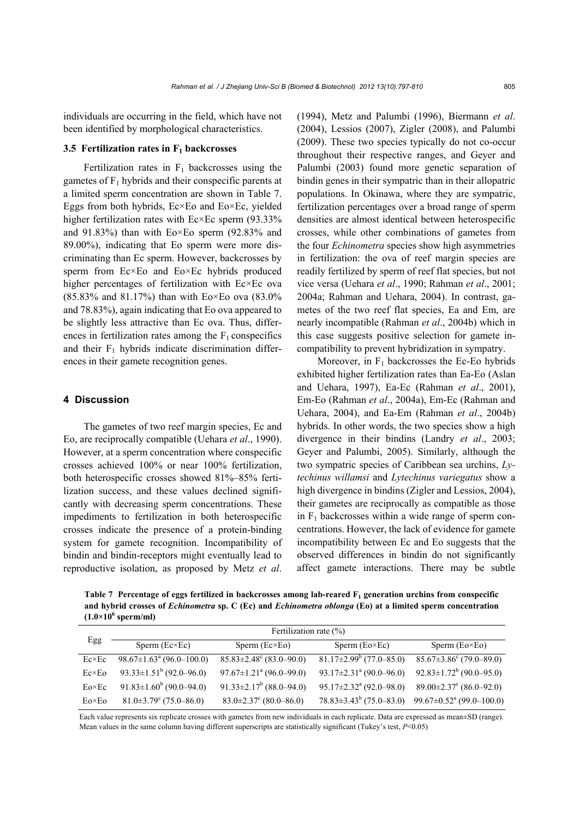individuals are occurring in the field, which have not been identified by morphological characteristics.

#### **3.5 Fertilization rates in F1 backcrosses**

Fertilization rates in  $F_1$  backcrosses using the gametes of  $F_1$  hybrids and their conspecific parents at a limited sperm concentration are shown in Table 7. Eggs from both hybrids, Ec×Eo and Eo×Ec, yielded higher fertilization rates with Ec×Ec sperm (93.33%) and 91.83%) than with Eo×Eo sperm (92.83% and 89.00%), indicating that Eo sperm were more discriminating than Ec sperm. However, backcrosses by sperm from Ec×Eo and Eo×Ec hybrids produced higher percentages of fertilization with Ec×Ec ova (85.83% and 81.17%) than with Eo×Eo ova (83.0% and 78.83%), again indicating that Eo ova appeared to be slightly less attractive than Ec ova. Thus, differences in fertilization rates among the  $F_1$  conspecifics and their  $F_1$  hybrids indicate discrimination differences in their gamete recognition genes.

# **4 Discussion**

The gametes of two reef margin species, Ec and Eo, are reciprocally compatible (Uehara *et al*., 1990). However, at a sperm concentration where conspecific crosses achieved 100% or near 100% fertilization, both heterospecific crosses showed 81%–85% fertilization success, and these values declined significantly with decreasing sperm concentrations. These impediments to fertilization in both heterospecific crosses indicate the presence of a protein-binding system for gamete recognition. Incompatibility of bindin and bindin-receptors might eventually lead to reproductive isolation, as proposed by Metz *et al*.

(1994), Metz and Palumbi (1996), Biermann *et al*. (2004), Lessios (2007), Zigler (2008), and Palumbi (2009). These two species typically do not co-occur throughout their respective ranges, and Geyer and Palumbi (2003) found more genetic separation of bindin genes in their sympatric than in their allopatric populations. In Okinawa, where they are sympatric, fertilization percentages over a broad range of sperm densities are almost identical between heterospecific crosses, while other combinations of gametes from the four *Echinometra* species show high asymmetries in fertilization: the ova of reef margin species are readily fertilized by sperm of reef flat species, but not vice versa (Uehara *et al*., 1990; Rahman *et al*., 2001; 2004a; Rahman and Uehara, 2004). In contrast, gametes of the two reef flat species, Ea and Em, are nearly incompatible (Rahman *et al*., 2004b) which in this case suggests positive selection for gamete incompatibility to prevent hybridization in sympatry.

Moreover, in  $F_1$  backcrosses the Ec-Eo hybrids exhibited higher fertilization rates than Ea-Eo (Aslan and Uehara, 1997), Ea-Ec (Rahman *et al*., 2001), Em-Eo (Rahman *et al*., 2004a), Em-Ec (Rahman and Uehara, 2004), and Ea-Em (Rahman *et al*., 2004b) hybrids. In other words, the two species show a high divergence in their bindins (Landry *et al*., 2003; Geyer and Palumbi, 2005). Similarly, although the two sympatric species of Caribbean sea urchins, *Lytechinus willamsi* and *Lytechinus variegatus* show a high divergence in bindins (Zigler and Lessios, 2004), their gametes are reciprocally as compatible as those in  $F_1$  backcrosses within a wide range of sperm concentrations. However, the lack of evidence for gamete incompatibility between Ec and Eo suggests that the observed differences in bindin do not significantly affect gamete interactions. There may be subtle

Table 7 Percentage of eggs fertilized in backcrosses among lab-reared F<sub>1</sub> generation urchins from conspecific **and hybrid crosses of** *Echinometra* **sp. C (Ec) and** *Echinometra oblonga* **(Eo) at a limited sperm concentration**   $(1.0 \times 10^6 \text{ sperm/ml})$ 

|                | Fertilization rate $(\% )$                 |                                           |                                           |                                            |  |  |
|----------------|--------------------------------------------|-------------------------------------------|-------------------------------------------|--------------------------------------------|--|--|
| Egg            | Sperm $(Ec \times Ec)$                     | Sperm $(Ec \times E_0)$                   | Sperm $(Eo \times Ec)$                    | Sperm $(Eo \times Eo)$                     |  |  |
| $Ec\times Ec$  | $98.67 \pm 1.63$ <sup>a</sup> (96.0-100.0) | $85.83 \pm 2.48$ ° (83.0–90.0)            | $81.17\pm2.99^{\circ}$ (77.0–85.0)        | $85.67 \pm 3.86$ ° (79.0–89.0)             |  |  |
| $Ec \times Eo$ | $93.33 \pm 1.51^b$ (92.0-96.0)             | $97.67 \pm 1.21$ <sup>a</sup> (96.0–99.0) | $93.17 \pm 2.31^{\circ} (90.0 - 96.0)$    | $92.83 \pm 1.72^b$ (90.0-95.0)             |  |  |
| Eo×Ec          | $91.83 \pm 1.60^b$ (90.0-94.0)             | $91.33 \pm 2.17^b$ (88.0–94.0)            | $95.17 \pm 2.32$ <sup>a</sup> (92.0–98.0) | $89.00 \pm 2.37$ ° (86.0–92.0)             |  |  |
| Eo×Eo          | $81.0\pm3.79^{\circ}$ (75.0-86.0)          | $83.0 \pm 2.37^{\circ}$ (80.0-86.0)       | $78.83\pm3.43^b$ (75.0–83.0)              | $99.67 \pm 0.52$ <sup>a</sup> (99.0-100.0) |  |  |

Each value represents six replicate crosses with gametes from new individuals in each replicate. Data are expressed as mean±SD (range). Mean values in the same column having different superscripts are statistically significant (Tukey's test, *P*<0.05)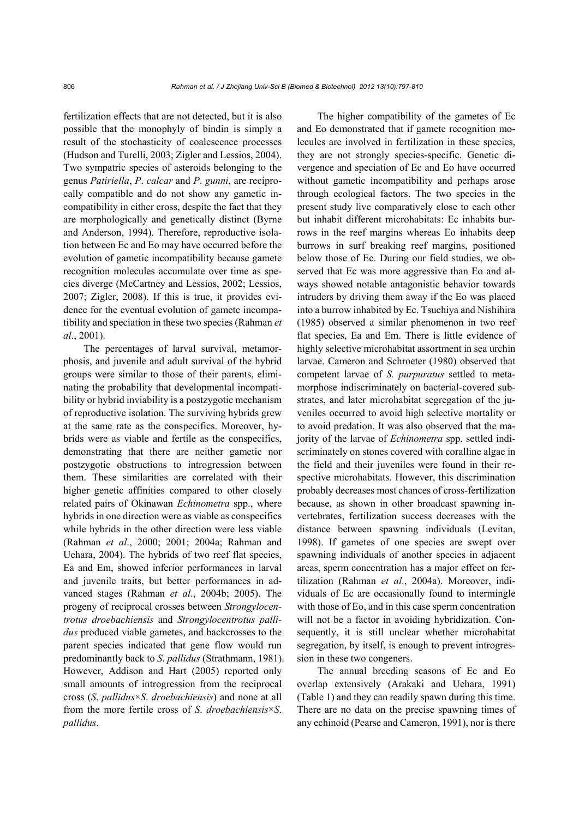fertilization effects that are not detected, but it is also possible that the monophyly of bindin is simply a result of the stochasticity of coalescence processes (Hudson and Turelli, 2003; Zigler and Lessios, 2004). Two sympatric species of asteroids belonging to the genus *Patiriella*, *P*. *calcar* and *P*. *gunni*, are reciprocally compatible and do not show any gametic incompatibility in either cross, despite the fact that they are morphologically and genetically distinct (Byrne and Anderson, 1994). Therefore, reproductive isolation between Ec and Eo may have occurred before the evolution of gametic incompatibility because gamete recognition molecules accumulate over time as species diverge (McCartney and Lessios, 2002; Lessios, 2007; Zigler, 2008). If this is true, it provides evidence for the eventual evolution of gamete incompatibility and speciation in these two species (Rahman *et al*., 2001).

The percentages of larval survival, metamorphosis, and juvenile and adult survival of the hybrid groups were similar to those of their parents, eliminating the probability that developmental incompatibility or hybrid inviability is a postzygotic mechanism of reproductive isolation. The surviving hybrids grew at the same rate as the conspecifics. Moreover, hybrids were as viable and fertile as the conspecifics, demonstrating that there are neither gametic nor postzygotic obstructions to introgression between them. These similarities are correlated with their higher genetic affinities compared to other closely related pairs of Okinawan *Echinometra* spp., where hybrids in one direction were as viable as conspecifics while hybrids in the other direction were less viable (Rahman *et al*., 2000; 2001; 2004a; Rahman and Uehara, 2004). The hybrids of two reef flat species, Ea and Em, showed inferior performances in larval and juvenile traits, but better performances in advanced stages (Rahman *et al*., 2004b; 2005). The progeny of reciprocal crosses between *Strongylocentrotus droebachiensis* and *Strongylocentrotus pallidus* produced viable gametes, and backcrosses to the parent species indicated that gene flow would run predominantly back to *S*. *pallidus* (Strathmann, 1981). However, Addison and Hart (2005) reported only small amounts of introgression from the reciprocal cross (*S*. *pallidus*×*S*. *droebachiensis*) and none at all from the more fertile cross of *S*. *droebachiensis*×*S*. *pallidus*.

The higher compatibility of the gametes of Ec and Eo demonstrated that if gamete recognition molecules are involved in fertilization in these species, they are not strongly species-specific. Genetic divergence and speciation of Ec and Eo have occurred without gametic incompatibility and perhaps arose through ecological factors. The two species in the present study live comparatively close to each other but inhabit different microhabitats: Ec inhabits burrows in the reef margins whereas Eo inhabits deep burrows in surf breaking reef margins, positioned below those of Ec. During our field studies, we observed that Ec was more aggressive than Eo and always showed notable antagonistic behavior towards intruders by driving them away if the Eo was placed into a burrow inhabited by Ec. Tsuchiya and Nishihira (1985) observed a similar phenomenon in two reef flat species, Ea and Em. There is little evidence of highly selective microhabitat assortment in sea urchin larvae. Cameron and Schroeter (1980) observed that competent larvae of *S. purpuratus* settled to metamorphose indiscriminately on bacterial-covered substrates, and later microhabitat segregation of the juveniles occurred to avoid high selective mortality or to avoid predation. It was also observed that the majority of the larvae of *Echinometra* spp. settled indiscriminately on stones covered with coralline algae in the field and their juveniles were found in their respective microhabitats. However, this discrimination probably decreases most chances of cross-fertilization because, as shown in other broadcast spawning invertebrates, fertilization success decreases with the distance between spawning individuals (Levitan, 1998). If gametes of one species are swept over spawning individuals of another species in adjacent areas, sperm concentration has a major effect on fertilization (Rahman *et al*., 2004a). Moreover, individuals of Ec are occasionally found to intermingle with those of Eo, and in this case sperm concentration will not be a factor in avoiding hybridization. Consequently, it is still unclear whether microhabitat segregation, by itself, is enough to prevent introgression in these two congeners.

The annual breeding seasons of Ec and Eo overlap extensively (Arakaki and Uehara, 1991) (Table 1) and they can readily spawn during this time. There are no data on the precise spawning times of any echinoid (Pearse and Cameron, 1991), nor is there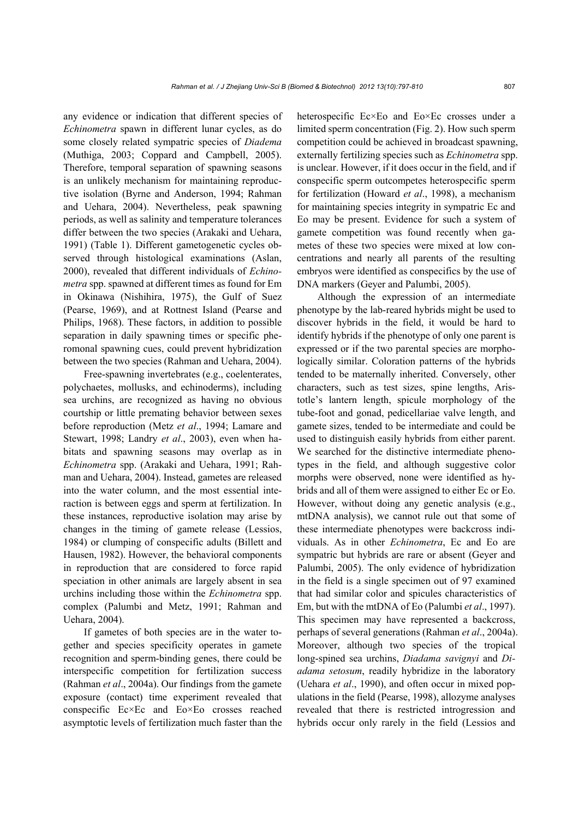any evidence or indication that different species of *Echinometra* spawn in different lunar cycles, as do some closely related sympatric species of *Diadema* (Muthiga, 2003; Coppard and Campbell, 2005). Therefore, temporal separation of spawning seasons is an unlikely mechanism for maintaining reproductive isolation (Byrne and Anderson, 1994; Rahman and Uehara, 2004). Nevertheless, peak spawning periods, as well as salinity and temperature tolerances differ between the two species (Arakaki and Uehara, 1991) (Table 1). Different gametogenetic cycles observed through histological examinations (Aslan, 2000), revealed that different individuals of *Echinometra* spp. spawned at different times as found for Em in Okinawa (Nishihira, 1975), the Gulf of Suez (Pearse, 1969), and at Rottnest Island (Pearse and Philips, 1968). These factors, in addition to possible separation in daily spawning times or specific pheromonal spawning cues, could prevent hybridization between the two species (Rahman and Uehara, 2004).

Free-spawning invertebrates (e.g., coelenterates, polychaetes, mollusks, and echinoderms), including sea urchins, are recognized as having no obvious courtship or little premating behavior between sexes before reproduction (Metz *et al*., 1994; Lamare and Stewart, 1998; Landry *et al*., 2003), even when habitats and spawning seasons may overlap as in *Echinometra* spp. (Arakaki and Uehara, 1991; Rahman and Uehara, 2004). Instead, gametes are released into the water column, and the most essential interaction is between eggs and sperm at fertilization. In these instances, reproductive isolation may arise by changes in the timing of gamete release (Lessios, 1984) or clumping of conspecific adults (Billett and Hausen, 1982). However, the behavioral components in reproduction that are considered to force rapid speciation in other animals are largely absent in sea urchins including those within the *Echinometra* spp. complex (Palumbi and Metz, 1991; Rahman and Uehara, 2004).

If gametes of both species are in the water together and species specificity operates in gamete recognition and sperm-binding genes, there could be interspecific competition for fertilization success (Rahman *et al*., 2004a). Our findings from the gamete exposure (contact) time experiment revealed that conspecific Ec×Ec and Eo×Eo crosses reached asymptotic levels of fertilization much faster than the heterospecific Ec×Eo and Eo×Ec crosses under a limited sperm concentration (Fig. 2). How such sperm competition could be achieved in broadcast spawning, externally fertilizing species such as *Echinometra* spp. is unclear. However, if it does occur in the field, and if conspecific sperm outcompetes heterospecific sperm for fertilization (Howard *et al*., 1998), a mechanism for maintaining species integrity in sympatric Ec and Eo may be present. Evidence for such a system of gamete competition was found recently when gametes of these two species were mixed at low concentrations and nearly all parents of the resulting embryos were identified as conspecifics by the use of DNA markers (Geyer and Palumbi, 2005).

Although the expression of an intermediate phenotype by the lab-reared hybrids might be used to discover hybrids in the field, it would be hard to identify hybrids if the phenotype of only one parent is expressed or if the two parental species are morphologically similar. Coloration patterns of the hybrids tended to be maternally inherited. Conversely, other characters, such as test sizes, spine lengths, Aristotle's lantern length, spicule morphology of the tube-foot and gonad, pedicellariae valve length, and gamete sizes, tended to be intermediate and could be used to distinguish easily hybrids from either parent. We searched for the distinctive intermediate phenotypes in the field, and although suggestive color morphs were observed, none were identified as hybrids and all of them were assigned to either Ec or Eo. However, without doing any genetic analysis (e.g., mtDNA analysis), we cannot rule out that some of these intermediate phenotypes were backcross individuals. As in other *Echinometra*, Ec and Eo are sympatric but hybrids are rare or absent (Geyer and Palumbi, 2005). The only evidence of hybridization in the field is a single specimen out of 97 examined that had similar color and spicules characteristics of Em, but with the mtDNA of Eo (Palumbi *et al*., 1997). This specimen may have represented a backcross, perhaps of several generations (Rahman *et al*., 2004a). Moreover, although two species of the tropical long-spined sea urchins, *Diadama savignyi* and *Diadama setosum*, readily hybridize in the laboratory (Uehara *et al*., 1990), and often occur in mixed populations in the field (Pearse, 1998), allozyme analyses revealed that there is restricted introgression and hybrids occur only rarely in the field (Lessios and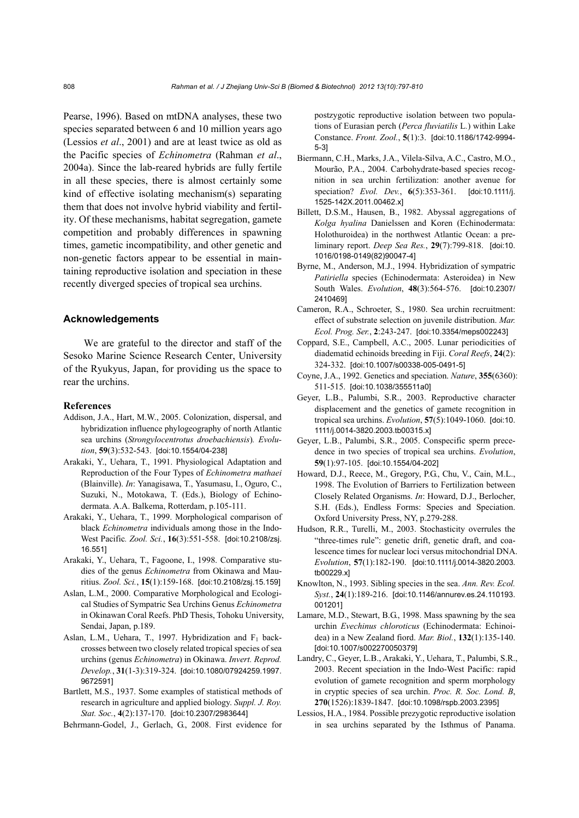Pearse, 1996). Based on mtDNA analyses, these two species separated between 6 and 10 million years ago (Lessios *et al*., 2001) and are at least twice as old as the Pacific species of *Echinometra* (Rahman *et al*., 2004a). Since the lab-reared hybrids are fully fertile in all these species, there is almost certainly some kind of effective isolating mechanism(s) separating them that does not involve hybrid viability and fertility. Of these mechanisms, habitat segregation, gamete competition and probably differences in spawning times, gametic incompatibility, and other genetic and non-genetic factors appear to be essential in maintaining reproductive isolation and speciation in these recently diverged species of tropical sea urchins.

## **Acknowledgements**

We are grateful to the director and staff of the Sesoko Marine Science Research Center, University of the Ryukyus, Japan, for providing us the space to rear the urchins.

#### **References**

- Addison, J.A., Hart, M.W., 2005. Colonization, dispersal, and hybridization influence phylogeography of north Atlantic sea urchins (*Strongylocentrotus droebachiensis*)*. Evolution*, **59**(3):532-543. [doi:10.1554/04-238]
- Arakaki, Y., Uehara, T., 1991. Physiological Adaptation and Reproduction of the Four Types of *Echinometra mathaei*  (Blainville). *In*: Yanagisawa, T., Yasumasu, I., Oguro, C., Suzuki, N., Motokawa, T. (Eds.), Biology of Echinodermata. A.A. Balkema, Rotterdam, p.105-111.
- Arakaki, Y., Uehara, T., 1999. Morphological comparison of black *Echinometra* individuals among those in the Indo-West Pacific*. Zool. Sci.*, **16**(3):551-558. [doi:10.2108/zsj. 16.551]
- Arakaki, Y., Uehara, T., Fagoone, I., 1998. Comparative studies of the genus *Echinometra* from Okinawa and Mauritius. *Zool. Sci.*, **15**(1):159-168. [doi:10.2108/zsj.15.159]
- Aslan, L.M., 2000. Comparative Morphological and Ecological Studies of Sympatric Sea Urchins Genus *Echinometra* in Okinawan Coral Reefs. PhD Thesis, Tohoku University, Sendai, Japan, p.189.
- Aslan, L.M., Uehara, T., 1997. Hybridization and  $F_1$  backcrosses between two closely related tropical species of sea urchins (genus *Echinometra*) in Okinawa. *Invert. Reprod. Develop.*, **31**(1-3):319-324. [doi:10.1080/07924259.1997. 9672591]
- Bartlett, M.S., 1937. Some examples of statistical methods of research in agriculture and applied biology. *Suppl. J. Roy. Stat. Soc.*, **4**(2):137-170. [doi:10.2307/2983644]

Behrmann-Godel, J., Gerlach, G., 2008. First evidence for

postzygotic reproductive isolation between two populations of Eurasian perch (*Perca fluviatilis* L*.*) within Lake Constance. *Front. Zool.*, **5**(1):3. [doi:10.1186/1742-9994- 5-3]

- Biermann, C.H., Marks, J.A., Vilela-Silva, A.C., Castro, M.O., Mourão, P.A., 2004. Carbohydrate-based species recognition in sea urchin fertilization: another avenue for speciation? *Evol. Dev.*, **6**(5):353-361. [doi:10.1111/j. 1525-142X.2011.00462.x]
- Billett, D.S.M., Hausen, B., 1982. Abyssal aggregations of *Kolga hyalina* Danielssen and Koren (Echinodermata: Holothuroidea) in the northwest Atlantic Ocean: a preliminary report. *Deep Sea Res.*, **29**(7):799-818. [doi:10. 1016/0198-0149(82)90047-4]
- Byrne, M., Anderson, M.J., 1994. Hybridization of sympatric *Patiriella* species (Echinodermata: Asteroidea) in New South Wales. *Evolution*, **48**(3):564-576. [doi:10.2307/ 2410469]
- Cameron, R.A., Schroeter, S., 1980. Sea urchin recruitment: effect of substrate selection on juvenile distribution. *Mar. Ecol. Prog. Ser.*, **2**:243-247. [doi:10.3354/meps002243]
- Coppard, S.E., Campbell, A.C., 2005. Lunar periodicities of diadematid echinoids breeding in Fiji. *Coral Reefs*, **24**(2): 324-332. [doi:10.1007/s00338-005-0491-5]
- Coyne, J.A., 1992. Genetics and speciation. *Nature*, **355**(6360): 511-515. [doi:10.1038/355511a0]
- Geyer, L.B., Palumbi, S.R., 2003. Reproductive character displacement and the genetics of gamete recognition in tropical sea urchins. *Evolution*, **57**(5):1049-1060. [doi:10. 1111/j.0014-3820.2003.tb00315.x]
- Geyer, L.B., Palumbi, S.R., 2005. Conspecific sperm precedence in two species of tropical sea urchins. *Evolution*, **59**(1):97-105. [doi:10.1554/04-202]
- Howard, D.J., Reece, M., Gregory, P.G., Chu, V., Cain, M.L., 1998. The Evolution of Barriers to Fertilization between Closely Related Organisms. *In*: Howard, D.J., Berlocher, S.H. (Eds.), Endless Forms: Species and Speciation. Oxford University Press, NY, p.279-288.
- Hudson, R.R., Turelli, M., 2003. Stochasticity overrules the "three-times rule": genetic drift, genetic draft, and coalescence times for nuclear loci versus mitochondrial DNA. *Evolution*, **57**(1):182-190. [doi:10.1111/j.0014-3820.2003. tb00229.x]
- Knowlton, N., 1993. Sibling species in the sea. *Ann. Rev. Ecol. Syst.*, **24**(1):189-216. [doi:10.1146/annurev.es.24.110193. 001201]
- Lamare, M.D., Stewart, B.G., 1998. Mass spawning by the sea urchin *Evechinus chloroticus* (Echinodermata: Echinoidea) in a New Zealand fiord. *Mar. Biol.*, **132**(1):135-140. [doi:10.1007/s002270050379]
- Landry, C., Geyer, L.B., Arakaki, Y., Uehara, T., Palumbi, S.R., 2003. Recent speciation in the Indo-West Pacific: rapid evolution of gamete recognition and sperm morphology in cryptic species of sea urchin. *Proc. R. Soc. Lond. B*, **270**(1526):1839-1847. [doi:10.1098/rspb.2003.2395]
- Lessios, H.A., 1984. Possible prezygotic reproductive isolation in sea urchins separated by the Isthmus of Panama.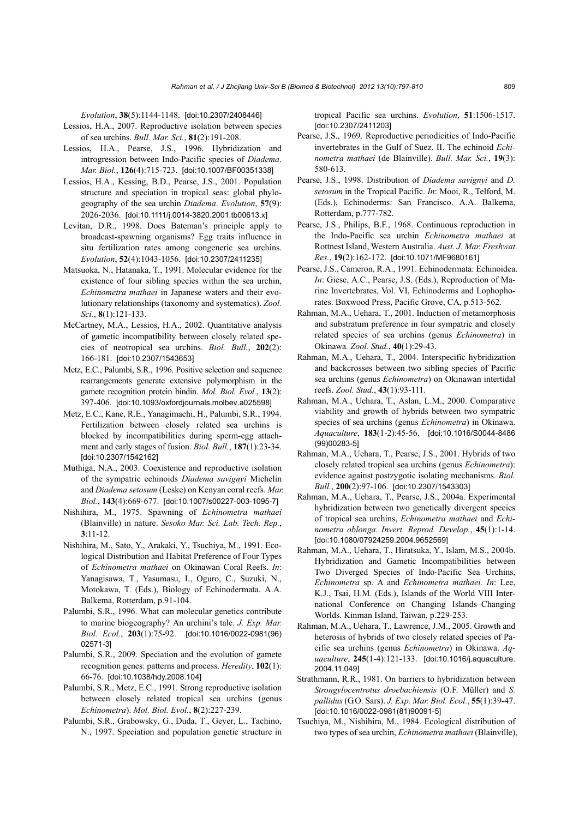*Evolution*, **38**(5):1144-1148. [doi:10.2307/2408446]

Lessios, H.A., 2007. Reproductive isolation between species of sea urchins. *Bull. Mar. Sci.*, **81**(2):191-208.

- Lessios, H.A., Pearse, J.S., 1996. Hybridization and introgression between Indo-Pacific species of *Diadema*. *Mar. Biol.*, **126**(4):715-723. [doi:10.1007/BF00351338]
- Lessios, H.A., Kessing, B.D., Pearse, J.S., 2001. Population structure and speciation in tropical seas: global phylogeography of the sea urchin *Diadema*. *Evolution*, **57**(9): 2026-2036. [doi:10.1111/j.0014-3820.2001.tb00613.x]
- Levitan, D.R., 1998. Does Bateman's principle apply to broadcast-spawning organisms? Egg traits influence in situ fertilization rates among congeneric sea urchins. *Evolution*, **52**(4):1043-1056. [doi:10.2307/2411235]
- Matsuoka, N., Hatanaka, T., 1991. Molecular evidence for the existence of four sibling species within the sea urchin, *Echinometra mathaei* in Japanese waters and their evolutionary relationships (taxonomy and systematics). *Zool. Sci.*, **8**(1):121-133.
- McCartney, M.A., Lessios, H.A., 2002. Quantitative analysis of gametic incompatibility between closely related species of neotropical sea urchins. *Biol. Bull.*, **202**(2): 166-181. [doi:10.2307/1543653]
- Metz, E.C., Palumbi, S.R., 1996. Positive selection and sequence rearrangements generate extensive polymorphism in the gamete recognition protein bindin. *Mol. Biol. Evol.*, **13**(2): 397-406. [doi:10.1093/oxfordjournals.molbev.a025598]
- Metz, E.C., Kane, R.E., Yanagimachi, H., Palumbi, S.R., 1994. Fertilization between closely related sea urchins is blocked by incompatibilities during sperm-egg attachment and early stages of fusion. *Biol. Bull.*, **187**(1):23-34. [doi:10.2307/1542162]
- Muthiga, N.A., 2003. Coexistence and reproductive isolation of the sympatric echinoids *Diadema savignyi* Michelin and *Diadema setosum* (Leske) on Kenyan coral reefs. *Mar. Biol.*, **143**(4):669-677. [doi:10.1007/s00227-003-1095-7]
- Nishihira, M., 1975. Spawning of *Echinometra mathaei*  (Blainville) in nature. *Sesoko Mar. Sci. Lab. Tech. Rep.*, **3**:11-12.
- Nishihira, M., Sato, Y., Arakaki, Y., Tsuchiya, M., 1991. Ecological Distribution and Habitat Preference of Four Types of *Echinometra mathaei* on Okinawan Coral Reefs. *In*: Yanagisawa, T., Yasumasu, I., Oguro, C., Suzuki, N., Motokawa, T. (Eds.), Biology of Echinodermata. A.A. Balkema, Rotterdam, p.91-104.
- Palumbi, S.R., 1996. What can molecular genetics contribute to marine biogeography? An urchini's tale. *J. Exp. Mar. Biol. Ecol.*, **203**(1):75-92. [doi:10.1016/0022-0981(96) 02571-3]
- Palumbi, S.R., 2009. Speciation and the evolution of gamete recognition genes: patterns and process. *Heredity*, **102**(1): 66-76. [doi:10.1038/hdy.2008.104]
- Palumbi, S.R., Metz, E.C., 1991. Strong reproductive isolation between closely related tropical sea urchins (genus *Echinometra*). *Mol. Biol. Evol.*, **8**(2):227-239.
- Palumbi, S.R., Grabowsky, G., Duda, T., Geyer, L., Tachino, N., 1997. Speciation and population genetic structure in

tropical Pacific sea urchins. *Evolution*, **51**:1506-1517. [doi:10.2307/2411203]

- Pearse, J.S., 1969. Reproductive periodicities of Indo-Pacific invertebrates in the Gulf of Suez. II. The echinoid *Echinometra mathaei* (de Blainville). *Bull. Mar. Sci.*, **19**(3): 580-613.
- Pearse, J.S., 1998. Distribution of *Diadema savignyi* and *D. setosum* in the Tropical Pacific. *In*: Mooi, R., Telford, M. (Eds.), Echinoderms: San Francisco. A.A. Balkema, Rotterdam, p.777-782.
- Pearse, J.S., Philips, B.F., 1968. Continuous reproduction in the Indo-Pacific sea urchin *Echinometra mathaei* at Rottnest Island, Western Australia. *Aust. J. Mar. Freshwat. Res.*, **19**(2):162-172. [doi:10.1071/MF9680161]
- Pearse, J.S., Cameron, R.A., 1991. Echinodermata: Echinoidea. *In*: Giese, A.C., Pearse, J.S. (Eds.), Reproduction of Marine Invertebrates, Vol. VI, Echinoderms and Lophophorates. Boxwood Press, Pacific Grove, CA, p.513-562.
- Rahman, M.A., Uehara, T., 2001. Induction of metamorphosis and substratum preference in four sympatric and closely related species of sea urchins (genus *Echinometra*) in Okinawa*. Zool. Stud.*, **40**(1):29-43.
- Rahman, M.A., Uehara, T., 2004. Interspecific hybridization and backcrosses between two sibling species of Pacific sea urchins (genus *Echinometra*) on Okinawan intertidal reefs. *Zool. Stud.*, **43**(1):93-111.
- Rahman, M.A., Uehara, T., Aslan, L.M., 2000. Comparative viability and growth of hybrids between two sympatric species of sea urchins (genus *Echinometra*) in Okinawa. *Aquaculture*, **183**(1-2):45-56. [doi:10.1016/S0044-8486 (99)00283-5]
- Rahman, M.A., Uehara, T., Pearse, J.S., 2001. Hybrids of two closely related tropical sea urchins (genus *Echinometra*): evidence against postzygotic isolating mechanisms. *Biol. Bull.*, **200**(2):97-106. [doi:10.2307/1543303]
- Rahman, M.A., Uehara, T., Pearse, J.S., 2004a. Experimental hybridization between two genetically divergent species of tropical sea urchins, *Echinometra mathaei* and *Echinometra oblonga*. *Invert. Reprod. Develop.*, **45**(1):1-14. [doi:10.1080/07924259.2004.9652569]
- Rahman, M.A., Uehara, T., Hiratsuka, Y., Islam, M.S., 2004b. Hybridization and Gametic Incompatibilities between Two Diverged Species of Indo-Pacific Sea Urchins, *Echinometra* sp. A and *Echinometra mathaei. In*: Lee, K.J., Tsai, H.M. (Eds.), Islands of the World VIII International Conference on Changing Islands–Changing Worlds. Kinman Island, Taiwan, p.229-253.
- Rahman, M.A., Uehara, T., Lawrence, J.M., 2005. Growth and heterosis of hybrids of two closely related species of Pacific sea urchins (genus *Echinometra*) in Okinawa. *Aquaculture*, **245**(1-4):121-133. [doi:10.1016/j.aquaculture. 2004.11.049]
- Strathmann, R.R., 1981. On barriers to hybridization between *Strongylocentrotus droebachiensis* (O.F. Müller) and *S. pallidus* (G.O. Sars). *J. Exp. Mar. Biol. Ecol.*, **55**(1):39-47. [doi:10.1016/0022-0981(81)90091-5]
- Tsuchiya, M., Nishihira, M., 1984. Ecological distribution of two types of sea urchin, *Echinometra mathaei* (Blainville),